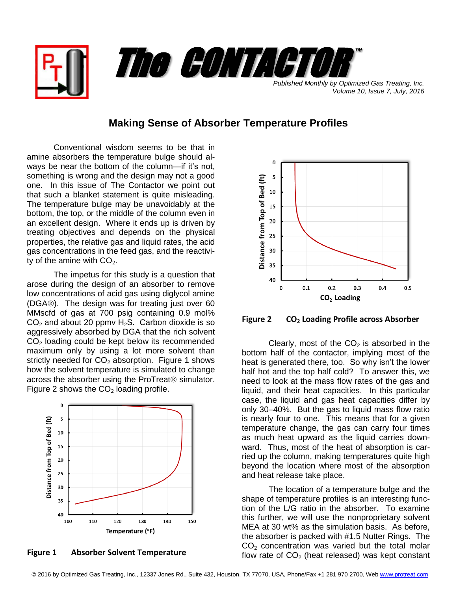

*Volume 10, Issue 7, July, 2016*

## **Making Sense of Absorber Temperature Profiles**

Conventional wisdom seems to be that in amine absorbers the temperature bulge should always be near the bottom of the column—if it's not, something is wrong and the design may not a good one. In this issue of The Contactor we point out that such a blanket statement is quite misleading. The temperature bulge may be unavoidably at the bottom, the top, or the middle of the column even in an excellent design. Where it ends up is driven by treating objectives and depends on the physical properties, the relative gas and liquid rates, the acid gas concentrations in the feed gas, and the reactivity of the amine with  $CO<sub>2</sub>$ .

The impetus for this study is a question that arose during the design of an absorber to remove low concentrations of acid gas using diglycol amine (DGA®). The design was for treating just over 60 MMscfd of gas at 700 psig containing 0.9 mol%  $CO<sub>2</sub>$  and about 20 ppmv H<sub>2</sub>S. Carbon dioxide is so aggressively absorbed by DGA that the rich solvent  $CO<sub>2</sub>$  loading could be kept below its recommended maximum only by using a lot more solvent than strictly needed for  $CO<sub>2</sub>$  absorption. Figure 1 shows how the solvent temperature is simulated to change across the absorber using the ProTreat<sup>®</sup> simulator. Figure 2 shows the  $CO<sub>2</sub>$  loading profile.



**Figure 1 Absorber Solvent Temperature**



**Figure 2 CO<sup>2</sup> Loading Profile across Absorber**

Clearly, most of the  $CO<sub>2</sub>$  is absorbed in the bottom half of the contactor, implying most of the heat is generated there, too. So why isn't the lower half hot and the top half cold? To answer this, we need to look at the mass flow rates of the gas and liquid, and their heat capacities. In this particular case, the liquid and gas heat capacities differ by only 30–40%. But the gas to liquid mass flow ratio is nearly four to one. This means that for a given temperature change, the gas can carry four times as much heat upward as the liquid carries downward. Thus, most of the heat of absorption is carried up the column, making temperatures quite high beyond the location where most of the absorption and heat release take place.

The location of a temperature bulge and the shape of temperature profiles is an interesting function of the L/G ratio in the absorber. To examine this further, we will use the nonproprietary solvent MEA at 30 wt% as the simulation basis. As before, the absorber is packed with #1.5 Nutter Rings. The  $CO<sub>2</sub>$  concentration was varied but the total molar flow rate of  $CO<sub>2</sub>$  (heat released) was kept constant